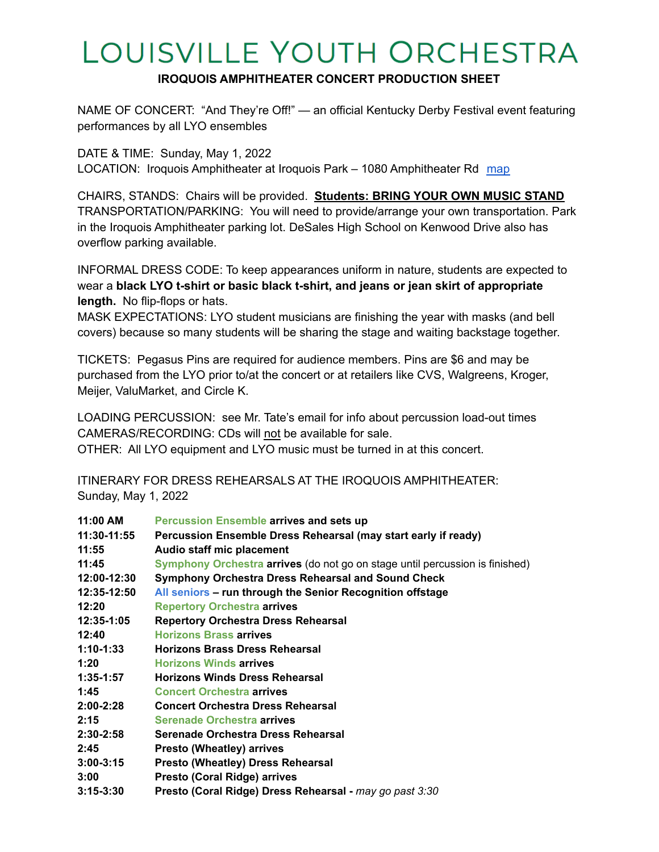## LOUISVILLE YOUTH ORCHESTRA

## **IROQUOIS AMPHITHEATER CONCERT PRODUCTION SHEET**

NAME OF CONCERT: "And They're Off!" — an official Kentucky Derby Festival event featuring performances by all LYO ensembles

DATE & TIME: Sunday, May 1, 2022 LOCATION: Iroquois Amphitheater at Iroquois Park – 1080 Amphitheater Rd [map](https://goo.gl/maps/v4nRXcuwtUB9s7z96)

CHAIRS, STANDS: Chairs will be provided. **Students: BRING YOUR OWN MUSIC STAND** TRANSPORTATION/PARKING: You will need to provide/arrange your own transportation. Park in the Iroquois Amphitheater parking lot. DeSales High School on Kenwood Drive also has overflow parking available.

INFORMAL DRESS CODE: To keep appearances uniform in nature, students are expected to wear a **black LYO t-shirt or basic black t-shirt, and jeans or jean skirt of appropriate length.** No flip-flops or hats.

MASK EXPECTATIONS: LYO student musicians are finishing the year with masks (and bell covers) because so many students will be sharing the stage and waiting backstage together.

TICKETS: Pegasus Pins are required for audience members. Pins are \$6 and may be purchased from the LYO prior to/at the concert or at retailers like CVS, Walgreens, Kroger, Meijer, ValuMarket, and Circle K.

LOADING PERCUSSION: see Mr. Tate's email for info about percussion load-out times CAMERAS/RECORDING: CDs will not be available for sale.

OTHER: All LYO equipment and LYO music must be turned in at this concert.

ITINERARY FOR DRESS REHEARSALS AT THE IROQUOIS AMPHITHEATER: Sunday, May 1, 2022

| 11:00 AM      | <b>Percussion Ensemble arrives and sets up</b>                               |
|---------------|------------------------------------------------------------------------------|
| 11:30-11:55   | Percussion Ensemble Dress Rehearsal (may start early if ready)               |
| 11:55         | Audio staff mic placement                                                    |
| 11:45         | Symphony Orchestra arrives (do not go on stage until percussion is finished) |
| 12:00-12:30   | Symphony Orchestra Dress Rehearsal and Sound Check                           |
| 12:35-12:50   | All seniors - run through the Senior Recognition offstage                    |
| 12:20         | <b>Repertory Orchestra arrives</b>                                           |
| 12:35-1:05    | <b>Repertory Orchestra Dress Rehearsal</b>                                   |
| 12:40         | <b>Horizons Brass arrives</b>                                                |
| 1:10-1:33     | <b>Horizons Brass Dress Rehearsal</b>                                        |
| 1:20          | <b>Horizons Winds arrives</b>                                                |
| 1:35-1:57     | <b>Horizons Winds Dress Rehearsal</b>                                        |
| 1:45          | <b>Concert Orchestra arrives</b>                                             |
| $2:00 - 2:28$ | <b>Concert Orchestra Dress Rehearsal</b>                                     |
| 2:15          | <b>Serenade Orchestra arrives</b>                                            |
| $2:30 - 2:58$ | Serenade Orchestra Dress Rehearsal                                           |
| 2:45          | <b>Presto (Wheatley) arrives</b>                                             |
| $3:00-3:15$   | <b>Presto (Wheatley) Dress Rehearsal</b>                                     |
| 3:00          | <b>Presto (Coral Ridge) arrives</b>                                          |
| $3:15 - 3:30$ | Presto (Coral Ridge) Dress Rehearsal - may go past 3:30                      |
|               |                                                                              |